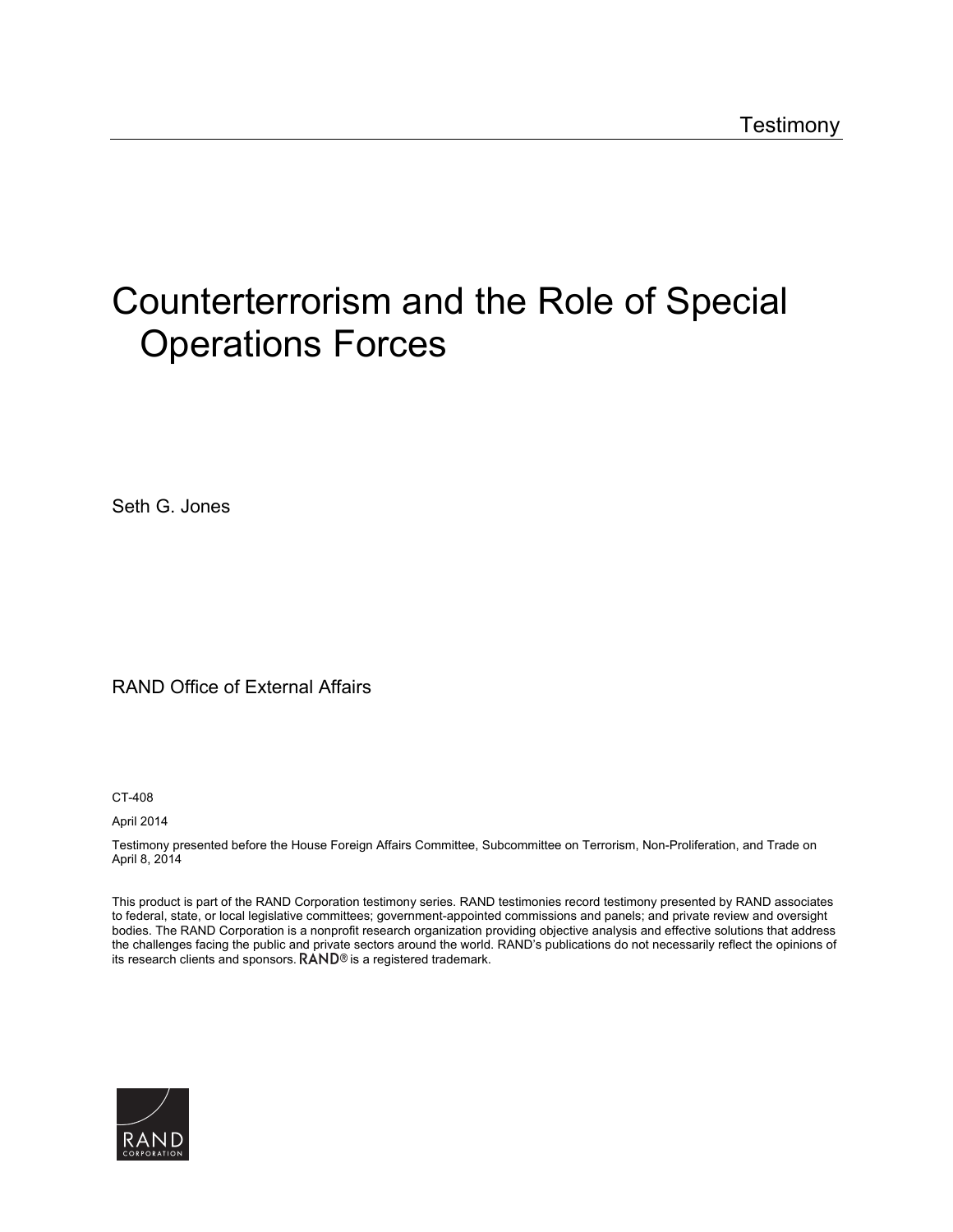# Counterterrorism and the Role of Special Operations Forces

Seth G. Jones

RAND Office of External Affairs

CT-408

April 2014

Testimony presented before the House Foreign Affairs Committee, Subcommittee on Terrorism, Non-Proliferation, and Trade on April 8, 2014

This product is part of the RAND Corporation testimony series. RAND testimonies record testimony presented by RAND associates to federal, state, or local legislative committees; government-appointed commissions and panels; and private review and oversight bodies. The RAND Corporation is a nonprofit research organization providing objective analysis and effective solutions that address the challenges facing the public and private sectors around the world. RAND's publications do not necessarily reflect the opinions of its research clients and sponsors. RAND<sup>®</sup> is a registered trademark.

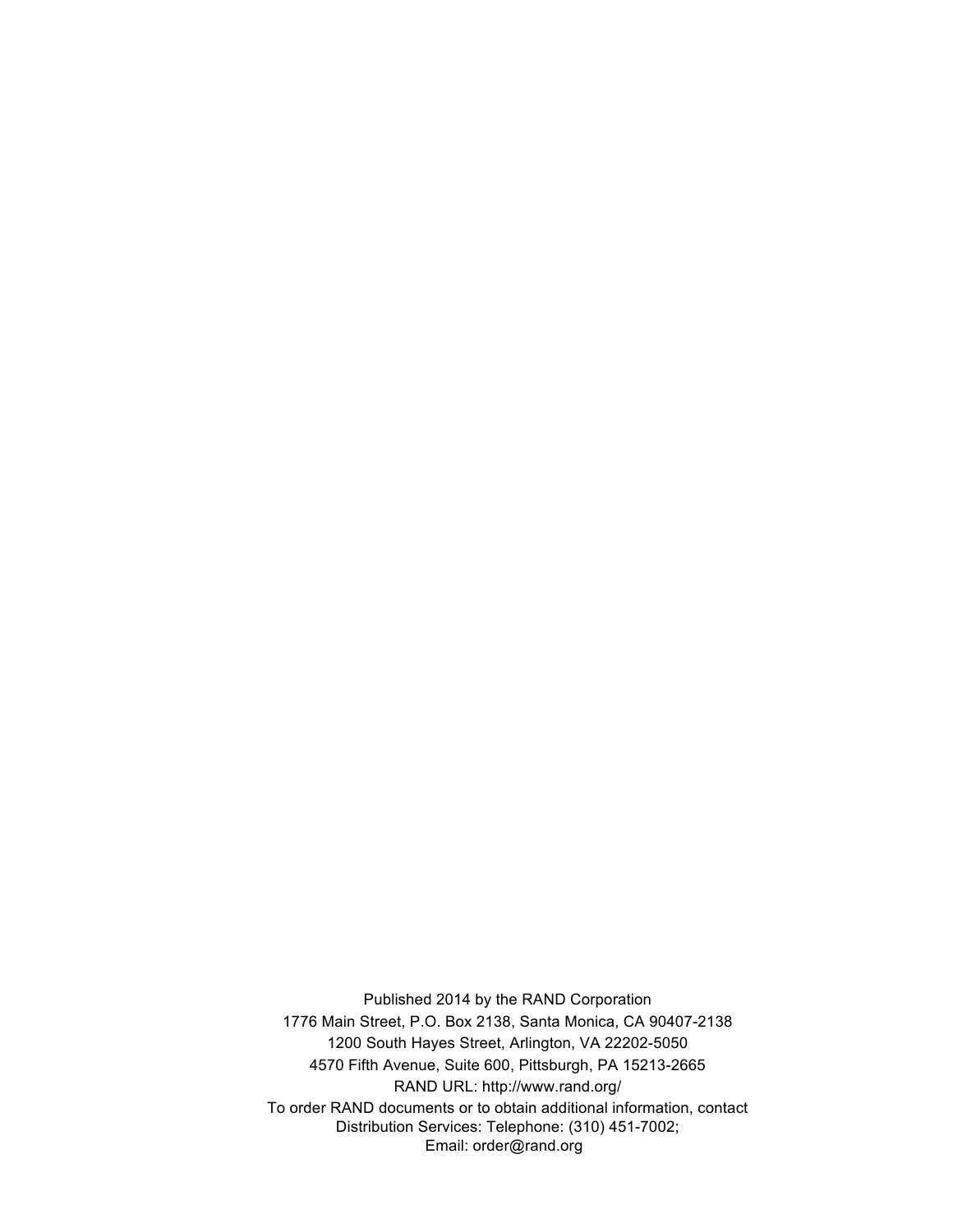Published 2014 by the RAND Corporation 1776 Main Street, P.O. Box 2138, Santa Monica, CA 90407-2138 1200 South Hayes Street, Arlington, VA 22202-5050 4570 Fifth Avenue, Suite 600, Pittsburgh, PA 15213-2665 RAND URL: http://www.rand.org/ To order RAND documents or to obtain additional information, contact Distribution Services: Telephone: (310) 451-7002; Email: order@rand.org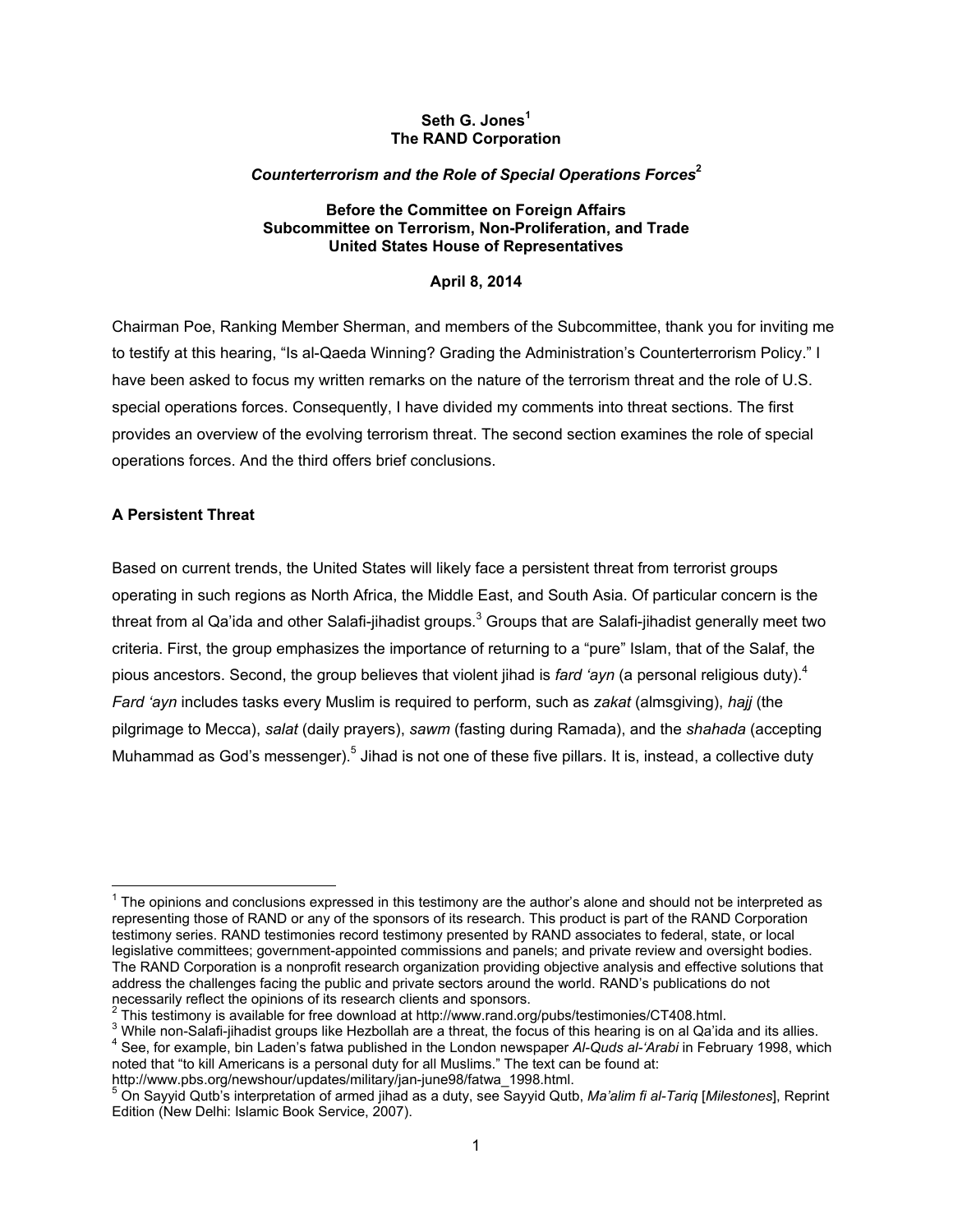## **Seth G. Jones<sup>1</sup> The RAND Corporation**

### *Counterterrorism and the Role of Special Operations Forces***<sup>2</sup>**

#### **Before the Committee on Foreign Affairs Subcommittee on Terrorism, Non-Proliferation, and Trade United States House of Representatives**

## **April 8, 2014**

Chairman Poe, Ranking Member Sherman, and members of the Subcommittee, thank you for inviting me to testify at this hearing, "Is al-Qaeda Winning? Grading the Administration's Counterterrorism Policy." I have been asked to focus my written remarks on the nature of the terrorism threat and the role of U.S. special operations forces. Consequently, I have divided my comments into threat sections. The first provides an overview of the evolving terrorism threat. The second section examines the role of special operations forces. And the third offers brief conclusions.

# **A Persistent Threat**

Based on current trends, the United States will likely face a persistent threat from terrorist groups operating in such regions as North Africa, the Middle East, and South Asia. Of particular concern is the threat from al Qa'ida and other Salafi-jihadist groups.<sup>3</sup> Groups that are Salafi-jihadist generally meet two criteria. First, the group emphasizes the importance of returning to a "pure" Islam, that of the Salaf, the pious ancestors. Second, the group believes that violent jihad is *fard 'ayn* (a personal religious duty).<sup>4</sup> *Fard 'ayn* includes tasks every Muslim is required to perform, such as *zakat* (almsgiving), *hajj* (the pilgrimage to Mecca), *salat* (daily prayers), *sawm* (fasting during Ramada), and the *shahada* (accepting Muhammad as God's messenger).<sup>5</sup> Jihad is not one of these five pillars. It is, instead, a collective duty

 $\overline{a}$  $1$  The opinions and conclusions expressed in this testimony are the author's alone and should not be interpreted as representing those of RAND or any of the sponsors of its research. This product is part of the RAND Corporation testimony series. RAND testimonies record testimony presented by RAND associates to federal, state, or local legislative committees; government-appointed commissions and panels; and private review and oversight bodies. The RAND Corporation is a nonprofit research organization providing objective analysis and effective solutions that address the challenges facing the public and private sectors around the world. RAND's publications do not necessarily reflect the opinions of its research clients and sponsors. 2

<sup>&</sup>lt;sup>2</sup> This testimony is available for free download at http://www.rand.org/pubs/testimonies/CT408.html.

<sup>&</sup>lt;sup>3</sup> While non-Salafi-jihadist groups like Hezbollah are a threat, the focus of this hearing is on al Qa'ida and its allies.

See, for example, bin Laden's fatwa published in the London newspaper *Al-Quds al-'Arabi* in February 1998, which noted that "to kill Americans is a personal duty for all Muslims." The text can be found at:

http://www.pbs.org/newshour/updates/military/jan-june98/fatwa\_1998.html.

On Sayyid Qutb's interpretation of armed jihad as a duty, see Sayyid Qutb, *Ma'alim fi al-Tariq* [*Milestones*], Reprint Edition (New Delhi: Islamic Book Service, 2007).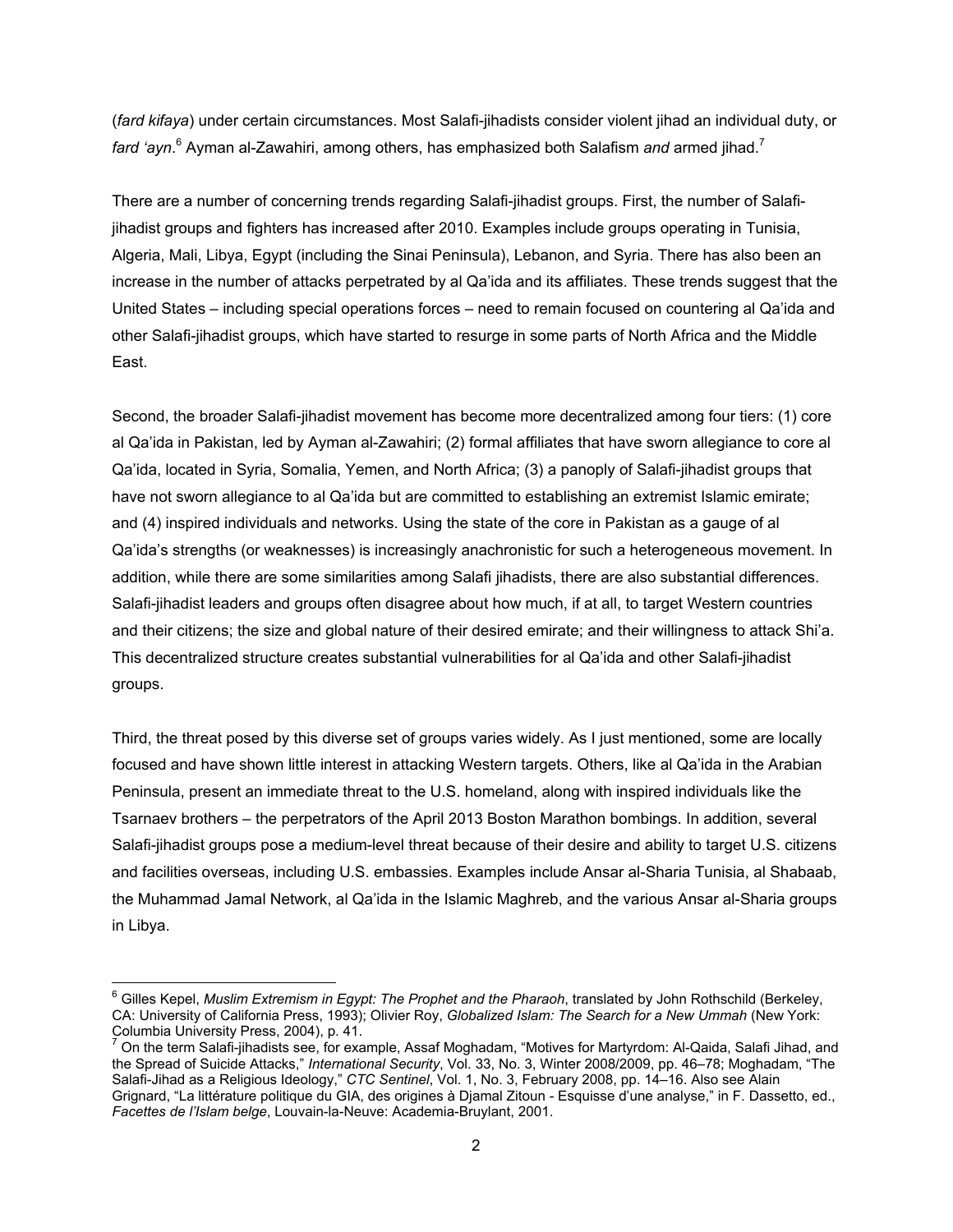(*fard kifaya*) under certain circumstances. Most Salafi-jihadists consider violent jihad an individual duty, or fard 'ayn.<sup>6</sup> Ayman al-Zawahiri, among others, has emphasized both Salafism and armed jihad.<sup>7</sup>

There are a number of concerning trends regarding Salafi-jihadist groups. First, the number of Salafijihadist groups and fighters has increased after 2010. Examples include groups operating in Tunisia, Algeria, Mali, Libya, Egypt (including the Sinai Peninsula), Lebanon, and Syria. There has also been an increase in the number of attacks perpetrated by al Qa'ida and its affiliates. These trends suggest that the United States – including special operations forces – need to remain focused on countering al Qa'ida and other Salafi-jihadist groups, which have started to resurge in some parts of North Africa and the Middle East.

Second, the broader Salafi-jihadist movement has become more decentralized among four tiers: (1) core al Qa'ida in Pakistan, led by Ayman al-Zawahiri; (2) formal affiliates that have sworn allegiance to core al Qa'ida, located in Syria, Somalia, Yemen, and North Africa; (3) a panoply of Salafi-jihadist groups that have not sworn allegiance to al Qa'ida but are committed to establishing an extremist Islamic emirate; and (4) inspired individuals and networks. Using the state of the core in Pakistan as a gauge of al Qa'ida's strengths (or weaknesses) is increasingly anachronistic for such a heterogeneous movement. In addition, while there are some similarities among Salafi jihadists, there are also substantial differences. Salafi-jihadist leaders and groups often disagree about how much, if at all, to target Western countries and their citizens; the size and global nature of their desired emirate; and their willingness to attack Shi'a. This decentralized structure creates substantial vulnerabilities for al Qa'ida and other Salafi-jihadist groups.

Third, the threat posed by this diverse set of groups varies widely. As I just mentioned, some are locally focused and have shown little interest in attacking Western targets. Others, like al Qa'ida in the Arabian Peninsula, present an immediate threat to the U.S. homeland, along with inspired individuals like the Tsarnaev brothers – the perpetrators of the April 2013 Boston Marathon bombings. In addition, several Salafi-jihadist groups pose a medium-level threat because of their desire and ability to target U.S. citizens and facilities overseas, including U.S. embassies. Examples include Ansar al-Sharia Tunisia, al Shabaab, the Muhammad Jamal Network, al Qa'ida in the Islamic Maghreb, and the various Ansar al-Sharia groups in Libya.

 $\overline{a}$ 

<sup>6</sup> Gilles Kepel, *Muslim Extremism in Egypt: The Prophet and the Pharaoh*, translated by John Rothschild (Berkeley, CA: University of California Press, 1993); Olivier Roy, *Globalized Islam: The Search for a New Ummah* (New York: Columbia University Press, 2004), p. 41.<br><sup>7</sup> On the term Salafi-jihadists see, for example, Assaf Moghadam, "Motives for Martyrdom: Al-Qaida, Salafi Jihad, and

the Spread of Suicide Attacks," *International Security*, Vol. 33, No. 3, Winter 2008/2009, pp. 46–78; Moghadam, "The Salafi-Jihad as a Religious Ideology," *CTC Sentinel*, Vol. 1, No. 3, February 2008, pp. 14–16. Also see Alain Grignard, "La littérature politique du GIA, des origines à Djamal Zitoun - Esquisse d'une analyse," in F. Dassetto, ed., *Facettes de l'Islam belge*, Louvain-la-Neuve: Academia-Bruylant, 2001.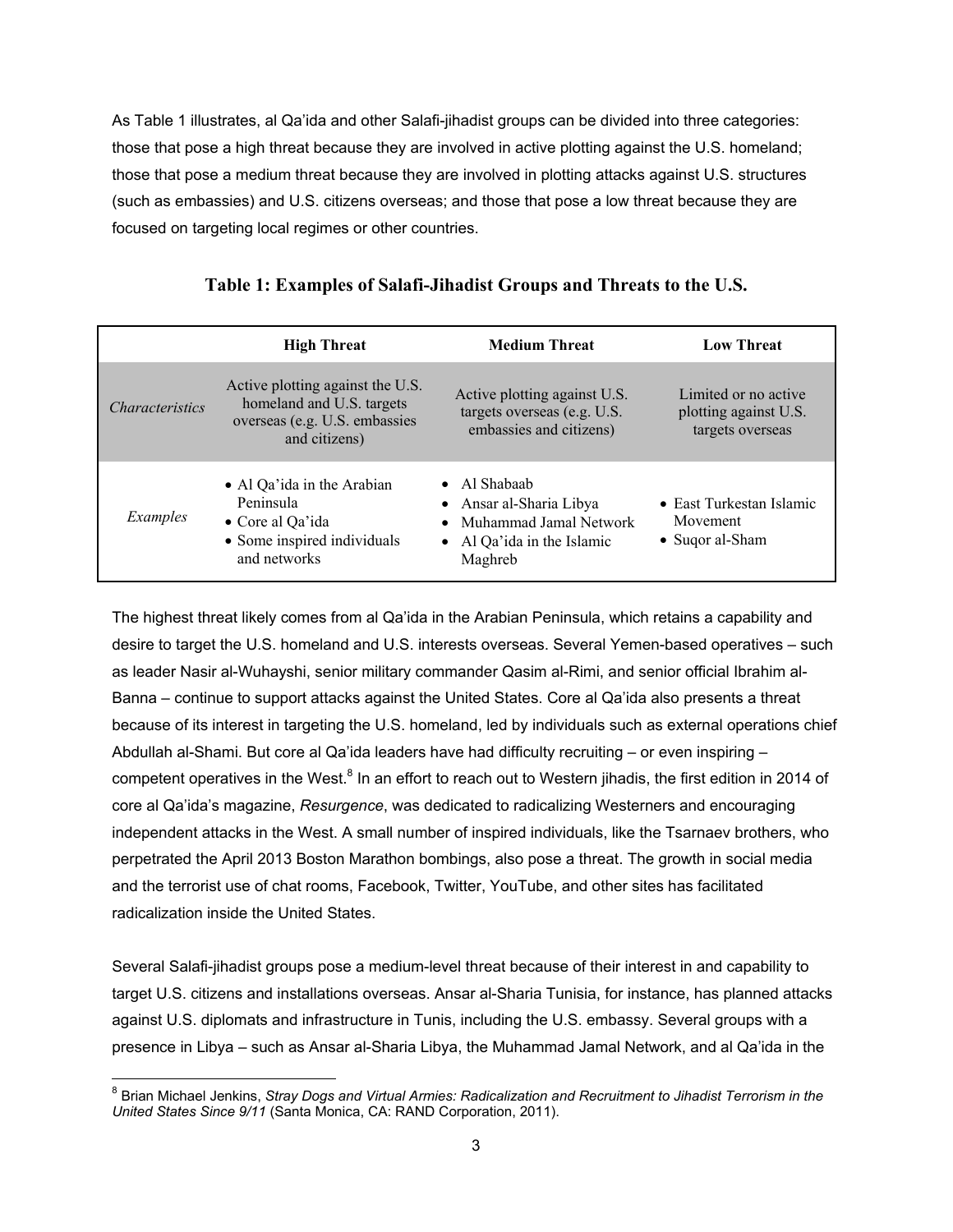As Table 1 illustrates, al Qa'ida and other Salafi-jihadist groups can be divided into three categories: those that pose a high threat because they are involved in active plotting against the U.S. homeland; those that pose a medium threat because they are involved in plotting attacks against U.S. structures (such as embassies) and U.S. citizens overseas; and those that pose a low threat because they are focused on targeting local regimes or other countries.

|                        | <b>High Threat</b>                                                                                              | <b>Medium Threat</b>                                                                                             | <b>Low Threat</b>                                                 |
|------------------------|-----------------------------------------------------------------------------------------------------------------|------------------------------------------------------------------------------------------------------------------|-------------------------------------------------------------------|
| <i>Characteristics</i> | Active plotting against the U.S.<br>homeland and U.S. targets<br>overseas (e.g. U.S. embassies<br>and citizens) | Active plotting against U.S.<br>targets overseas (e.g. U.S.<br>embassies and citizens)                           | Limited or no active<br>plotting against U.S.<br>targets overseas |
| Examples               | • Al Qa'ida in the Arabian<br>Peninsula<br>• Core al Qa'ida<br>• Some inspired individuals<br>and networks      | $\bullet$ Al Shabaab<br>Ansar al-Sharia Libya<br>Muhammad Jamal Network<br>• Al Qa'ida in the Islamic<br>Maghreb | • East Turkestan Islamic<br>Movement<br>• Sugor al-Sham           |

**Table 1: Examples of Salafi-Jihadist Groups and Threats to the U.S.** 

The highest threat likely comes from al Qa'ida in the Arabian Peninsula, which retains a capability and desire to target the U.S. homeland and U.S. interests overseas. Several Yemen-based operatives – such as leader Nasir al-Wuhayshi, senior military commander Qasim al-Rimi, and senior official Ibrahim al-Banna – continue to support attacks against the United States. Core al Qa'ida also presents a threat because of its interest in targeting the U.S. homeland, led by individuals such as external operations chief Abdullah al-Shami. But core al Qa'ida leaders have had difficulty recruiting – or even inspiring – competent operatives in the West.<sup>8</sup> In an effort to reach out to Western jihadis, the first edition in 2014 of core al Qa'ida's magazine, *Resurgence*, was dedicated to radicalizing Westerners and encouraging independent attacks in the West. A small number of inspired individuals, like the Tsarnaev brothers, who perpetrated the April 2013 Boston Marathon bombings, also pose a threat. The growth in social media and the terrorist use of chat rooms, Facebook, Twitter, YouTube, and other sites has facilitated radicalization inside the United States.

Several Salafi-jihadist groups pose a medium-level threat because of their interest in and capability to target U.S. citizens and installations overseas. Ansar al-Sharia Tunisia, for instance, has planned attacks against U.S. diplomats and infrastructure in Tunis, including the U.S. embassy. Several groups with a presence in Libya – such as Ansar al-Sharia Libya, the Muhammad Jamal Network, and al Qa'ida in the

 8 Brian Michael Jenkins, *Stray Dogs and Virtual Armies: Radicalization and Recruitment to Jihadist Terrorism in the United States Since 9/11* (Santa Monica, CA: RAND Corporation, 2011).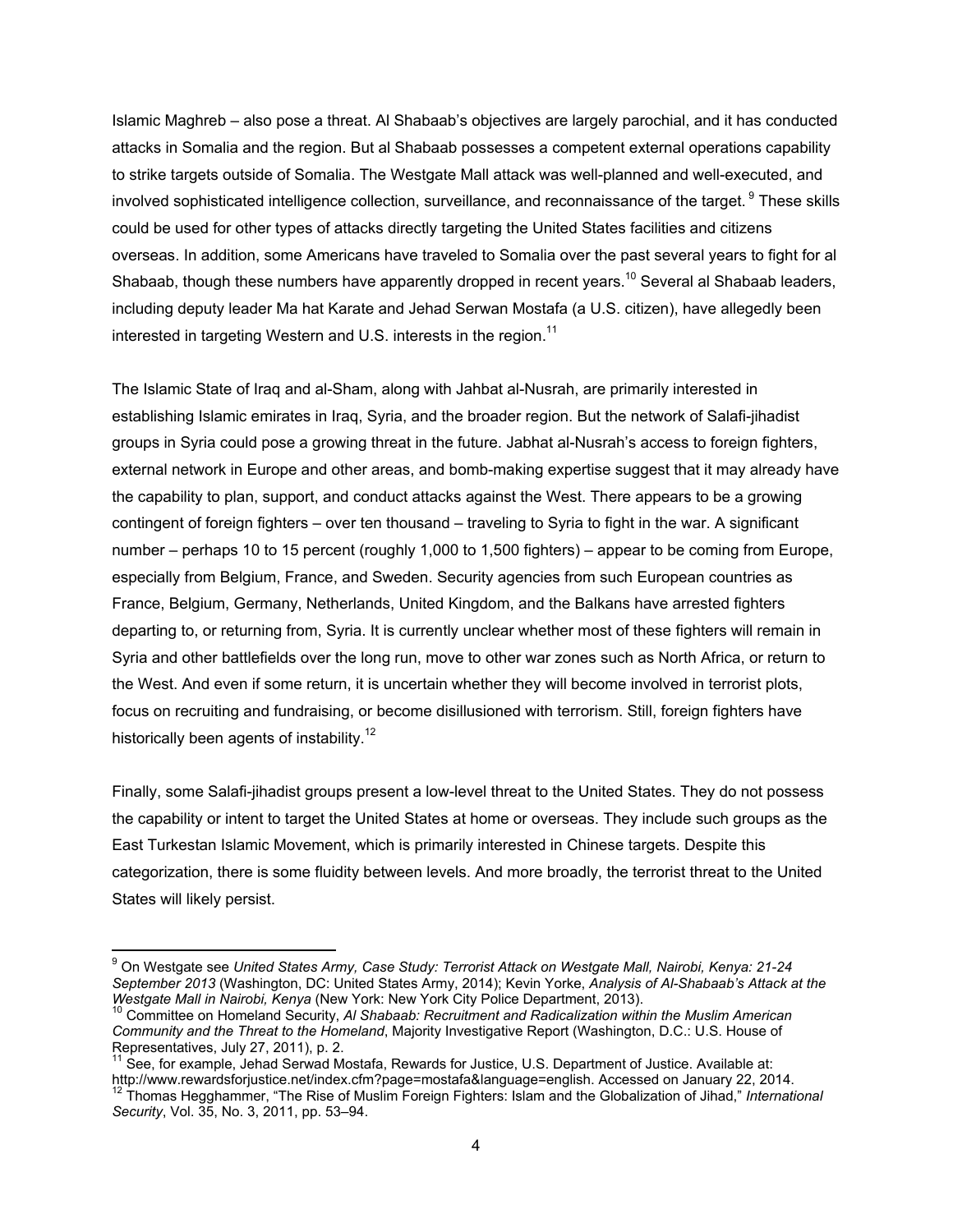Islamic Maghreb – also pose a threat. Al Shabaab's objectives are largely parochial, and it has conducted attacks in Somalia and the region. But al Shabaab possesses a competent external operations capability to strike targets outside of Somalia. The Westgate Mall attack was well-planned and well-executed, and involved sophisticated intelligence collection, surveillance, and reconnaissance of the target. <sup>9</sup> These skills could be used for other types of attacks directly targeting the United States facilities and citizens overseas. In addition, some Americans have traveled to Somalia over the past several years to fight for al Shabaab, though these numbers have apparently dropped in recent years.<sup>10</sup> Several al Shabaab leaders, including deputy leader Ma hat Karate and Jehad Serwan Mostafa (a U.S. citizen), have allegedly been interested in targeting Western and U.S. interests in the region.<sup>11</sup>

The Islamic State of Iraq and al-Sham, along with Jahbat al-Nusrah, are primarily interested in establishing Islamic emirates in Iraq, Syria, and the broader region. But the network of Salafi-jihadist groups in Syria could pose a growing threat in the future. Jabhat al-Nusrah's access to foreign fighters, external network in Europe and other areas, and bomb-making expertise suggest that it may already have the capability to plan, support, and conduct attacks against the West. There appears to be a growing contingent of foreign fighters – over ten thousand – traveling to Syria to fight in the war. A significant number – perhaps 10 to 15 percent (roughly 1,000 to 1,500 fighters) – appear to be coming from Europe, especially from Belgium, France, and Sweden. Security agencies from such European countries as France, Belgium, Germany, Netherlands, United Kingdom, and the Balkans have arrested fighters departing to, or returning from, Syria. It is currently unclear whether most of these fighters will remain in Syria and other battlefields over the long run, move to other war zones such as North Africa, or return to the West. And even if some return, it is uncertain whether they will become involved in terrorist plots, focus on recruiting and fundraising, or become disillusioned with terrorism. Still, foreign fighters have historically been agents of instability.<sup>12</sup>

Finally, some Salafi-jihadist groups present a low-level threat to the United States. They do not possess the capability or intent to target the United States at home or overseas. They include such groups as the East Turkestan Islamic Movement, which is primarily interested in Chinese targets. Despite this categorization, there is some fluidity between levels. And more broadly, the terrorist threat to the United States will likely persist.

 $\overline{a}$ 

<sup>9</sup> On Westgate see *United States Army, Case Study: Terrorist Attack on Westgate Mall, Nairobi, Kenya: 21-24 September 2013* (Washington, DC: United States Army, 2014); Kevin Yorke, *Analysis of Al-Shabaab's Attack at the* 

Westgate Mall *in New York City Police Pressure Department*, 2013). <sup>10</sup> Committee on Homeland Security, *Al Shabaab: Recruitment and Radicalization within the Muslim American Community and the Threat to the Homeland*, Majority Investigative Report (Washington, D.C.: U.S. House of Representatives, July 27, 2011), p. 2.

 $11$  See, for example, Jehad Serwad Mostafa, Rewards for Justice, U.S. Department of Justice. Available at: http://www.rewardsforjustice.net/index.cfm?page=mostafa&language=english. Accessed on January 22, 2014.<br><sup>12</sup> Thomas Hegghammer, "The Rise of Muslim Foreign Fighters: Islam and the Globalization of Jihad," *International Security*, Vol. 35, No. 3, 2011, pp. 53–94.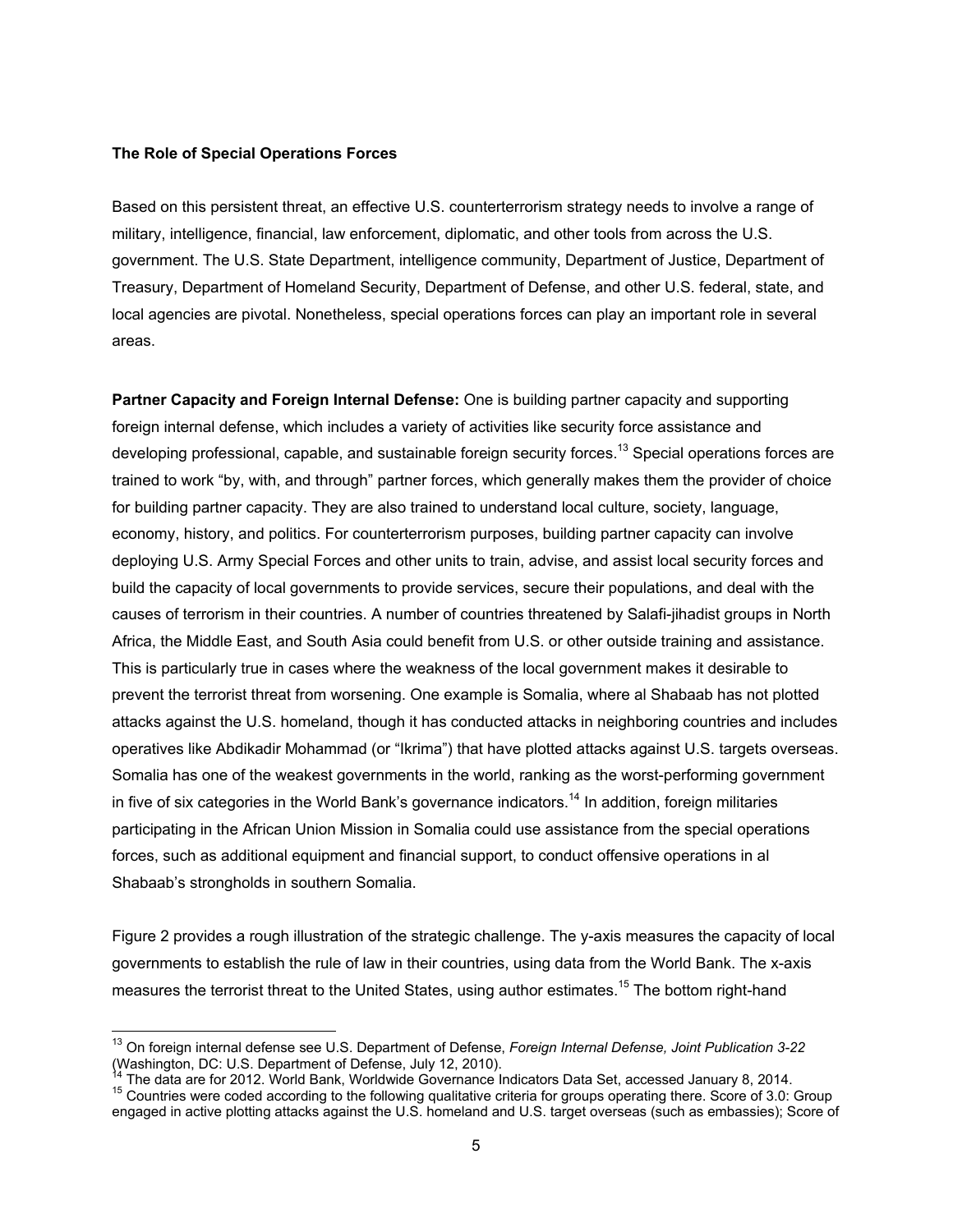#### **The Role of Special Operations Forces**

 $\overline{a}$ 

Based on this persistent threat, an effective U.S. counterterrorism strategy needs to involve a range of military, intelligence, financial, law enforcement, diplomatic, and other tools from across the U.S. government. The U.S. State Department, intelligence community, Department of Justice, Department of Treasury, Department of Homeland Security, Department of Defense, and other U.S. federal, state, and local agencies are pivotal. Nonetheless, special operations forces can play an important role in several areas.

**Partner Capacity and Foreign Internal Defense:** One is building partner capacity and supporting foreign internal defense, which includes a variety of activities like security force assistance and developing professional, capable, and sustainable foreign security forces.<sup>13</sup> Special operations forces are trained to work "by, with, and through" partner forces, which generally makes them the provider of choice for building partner capacity. They are also trained to understand local culture, society, language, economy, history, and politics. For counterterrorism purposes, building partner capacity can involve deploying U.S. Army Special Forces and other units to train, advise, and assist local security forces and build the capacity of local governments to provide services, secure their populations, and deal with the causes of terrorism in their countries. A number of countries threatened by Salafi-jihadist groups in North Africa, the Middle East, and South Asia could benefit from U.S. or other outside training and assistance. This is particularly true in cases where the weakness of the local government makes it desirable to prevent the terrorist threat from worsening. One example is Somalia, where al Shabaab has not plotted attacks against the U.S. homeland, though it has conducted attacks in neighboring countries and includes operatives like Abdikadir Mohammad (or "Ikrima") that have plotted attacks against U.S. targets overseas. Somalia has one of the weakest governments in the world, ranking as the worst-performing government in five of six categories in the World Bank's governance indicators.<sup>14</sup> In addition, foreign militaries participating in the African Union Mission in Somalia could use assistance from the special operations forces, such as additional equipment and financial support, to conduct offensive operations in al Shabaab's strongholds in southern Somalia.

Figure 2 provides a rough illustration of the strategic challenge. The y-axis measures the capacity of local governments to establish the rule of law in their countries, using data from the World Bank. The x-axis measures the terrorist threat to the United States, using author estimates.<sup>15</sup> The bottom right-hand

<sup>13</sup> On foreign internal defense see U.S. Department of Defense, *Foreign Internal Defense, Joint Publication 3-22* (Washington, DC: U.S. Department of Defense, July 12, 2010).<br><sup>14</sup> The data are for 2012. World Bank, Worldwide Governance Indicators Data Set, accessed January 8, 2014.

<sup>15</sup> Countries were coded according to the following qualitative criteria for groups operating there. Score of 3.0: Group<br>engaged in active plotting attacks against the U.S. homeland and U.S. target overseas (such as embassi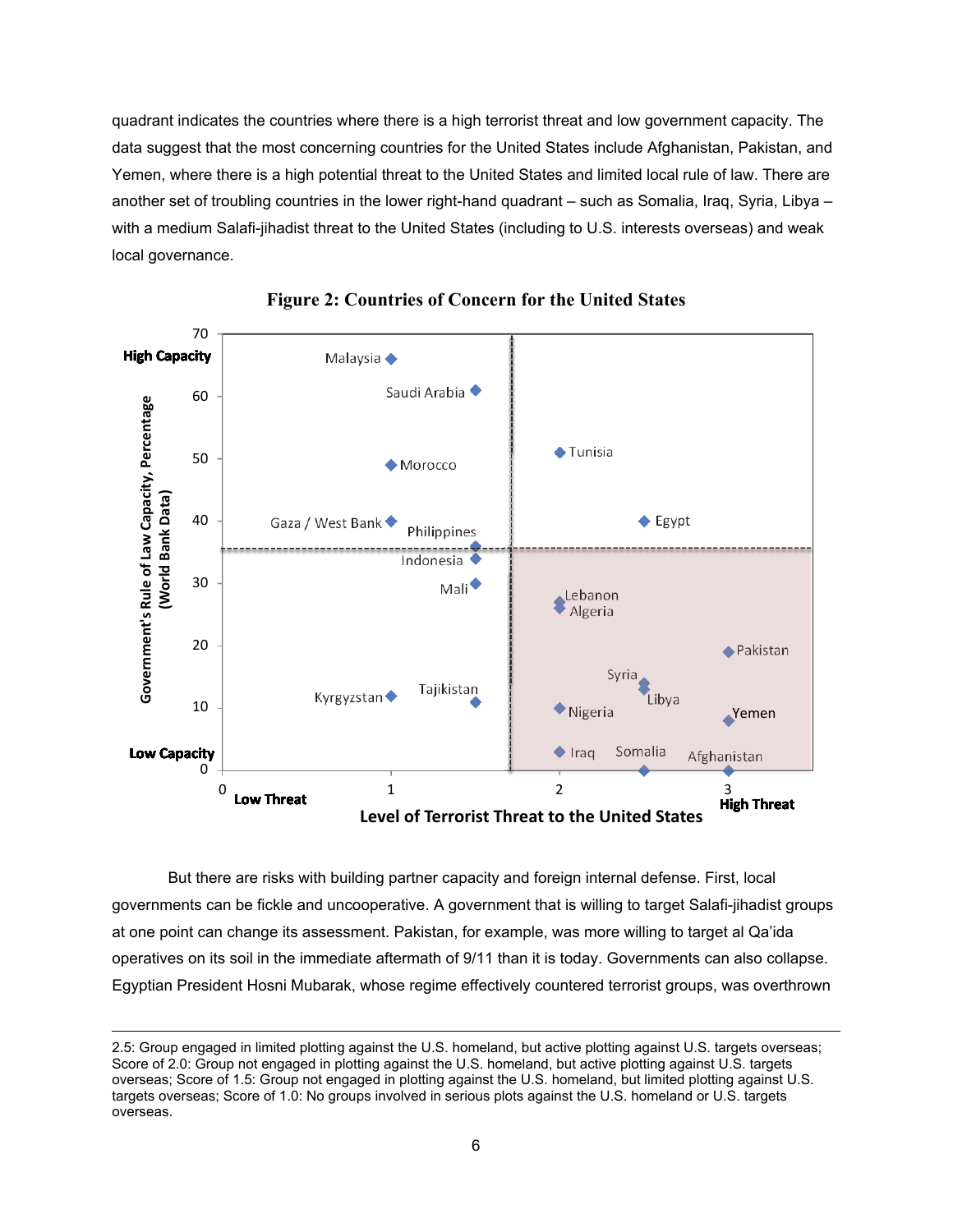quadrant indicates the countries where there is a high terrorist threat and low government capacity. The data suggest that the most concerning countries for the United States include Afghanistan, Pakistan, and Yemen, where there is a high potential threat to the United States and limited local rule of law. There are another set of troubling countries in the lower right-hand quadrant – such as Somalia, Iraq, Syria, Libya – with a medium Salafi-jihadist threat to the United States (including to U.S. interests overseas) and weak local governance.





But there are risks with building partner capacity and foreign internal defense. First, local governments can be fickle and uncooperative. A government that is willing to target Salafi-jihadist groups at one point can change its assessment. Pakistan, for example, was more willing to target al Qa'ida operatives on its soil in the immediate aftermath of 9/11 than it is today. Governments can also collapse. Egyptian President Hosni Mubarak, whose regime effectively countered terrorist groups, was overthrown

<sup>2.5:</sup> Group engaged in limited plotting against the U.S. homeland, but active plotting against U.S. targets overseas; Score of 2.0: Group not engaged in plotting against the U.S. homeland, but active plotting against U.S. targets overseas; Score of 1.5: Group not engaged in plotting against the U.S. homeland, but limited plotting against U.S. targets overseas; Score of 1.0: No groups involved in serious plots against the U.S. homeland or U.S. targets overseas.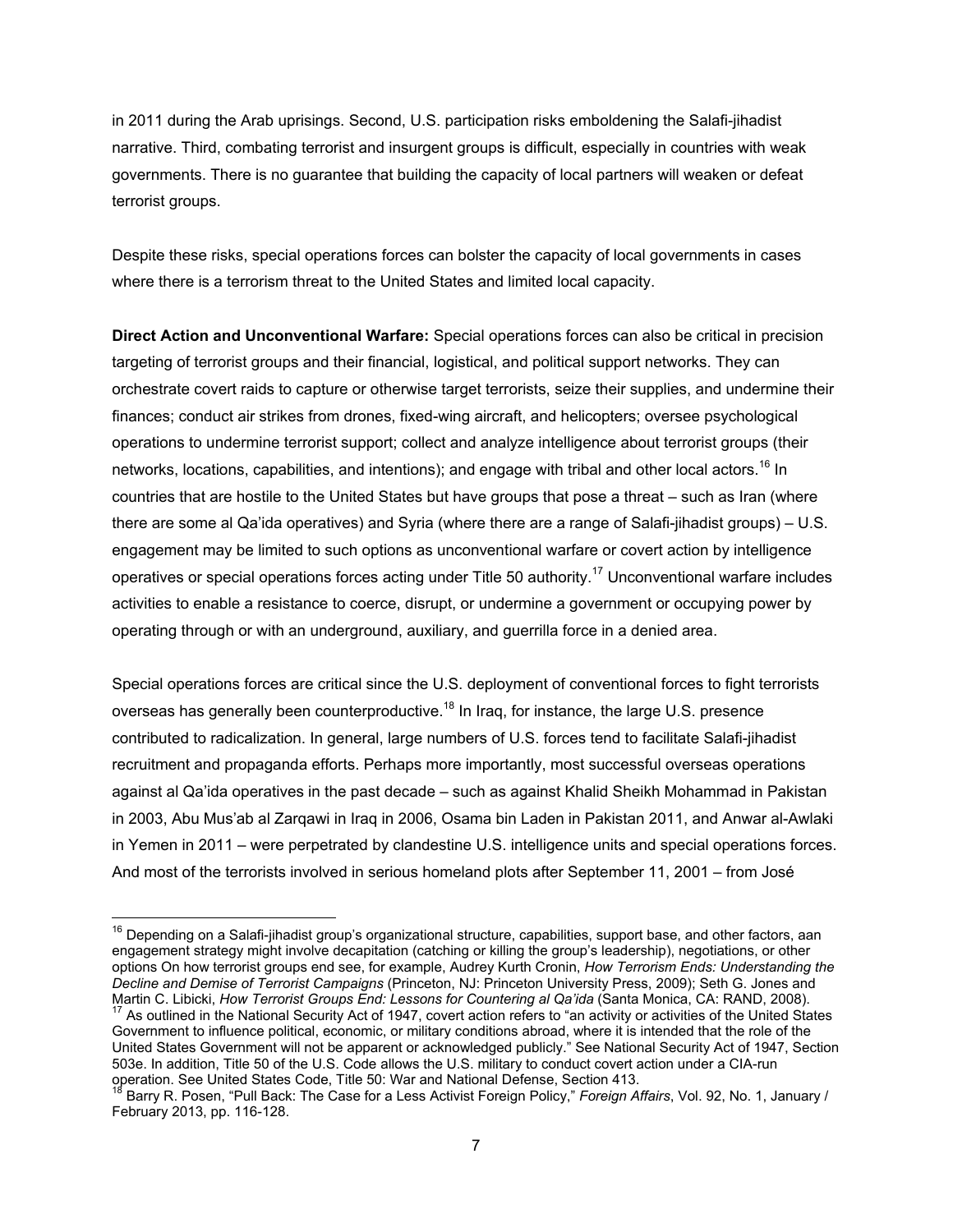in 2011 during the Arab uprisings. Second, U.S. participation risks emboldening the Salafi-jihadist narrative. Third, combating terrorist and insurgent groups is difficult, especially in countries with weak governments. There is no guarantee that building the capacity of local partners will weaken or defeat terrorist groups.

Despite these risks, special operations forces can bolster the capacity of local governments in cases where there is a terrorism threat to the United States and limited local capacity.

**Direct Action and Unconventional Warfare:** Special operations forces can also be critical in precision targeting of terrorist groups and their financial, logistical, and political support networks. They can orchestrate covert raids to capture or otherwise target terrorists, seize their supplies, and undermine their finances; conduct air strikes from drones, fixed-wing aircraft, and helicopters; oversee psychological operations to undermine terrorist support; collect and analyze intelligence about terrorist groups (their networks, locations, capabilities, and intentions); and engage with tribal and other local actors.<sup>16</sup> In countries that are hostile to the United States but have groups that pose a threat – such as Iran (where there are some al Qa'ida operatives) and Syria (where there are a range of Salafi-jihadist groups) – U.S. engagement may be limited to such options as unconventional warfare or covert action by intelligence operatives or special operations forces acting under Title 50 authority.17 Unconventional warfare includes activities to enable a resistance to coerce, disrupt, or undermine a government or occupying power by operating through or with an underground, auxiliary, and guerrilla force in a denied area.

Special operations forces are critical since the U.S. deployment of conventional forces to fight terrorists overseas has generally been counterproductive.<sup>18</sup> In Iraq, for instance, the large U.S. presence contributed to radicalization. In general, large numbers of U.S. forces tend to facilitate Salafi-jihadist recruitment and propaganda efforts. Perhaps more importantly, most successful overseas operations against al Qa'ida operatives in the past decade – such as against Khalid Sheikh Mohammad in Pakistan in 2003, Abu Mus'ab al Zarqawi in Iraq in 2006, Osama bin Laden in Pakistan 2011, and Anwar al-Awlaki in Yemen in 2011 – were perpetrated by clandestine U.S. intelligence units and special operations forces. And most of the terrorists involved in serious homeland plots after September 11, 2001 – from José

 $\overline{a}$ 

As outlined in the National Security Act of 1947, covert action refers to "an activity or activities of the United States Government to influence political, economic, or military conditions abroad, where it is intended that the role of the United States Government will not be apparent or acknowledged publicly." See National Security Act of 1947, Section 503e. In addition, Title 50 of the U.S. Code allows the U.S. military to conduct covert action under a CIA-run operation. See United States Code, Title 50: War and National Defense, Section 413.<br><sup>18</sup> Barry R. Posen, "Pull Back: The Case for a Less Activist Foreign Policy," *Foreign Affairs*, Vol. 92, No. 1, January /

 $16$  Depending on a Salafi-jihadist group's organizational structure, capabilities, support base, and other factors, aan engagement strategy might involve decapitation (catching or killing the group's leadership), negotiations, or other options On how terrorist groups end see, for example, Audrey Kurth Cronin, *How Terrorism Ends: Understanding the Decline and Demise of Terrorist Campaigns* (Princeton, NJ: Princeton University Press, 2009); Seth G. Jones and

February 2013, pp. 116-128.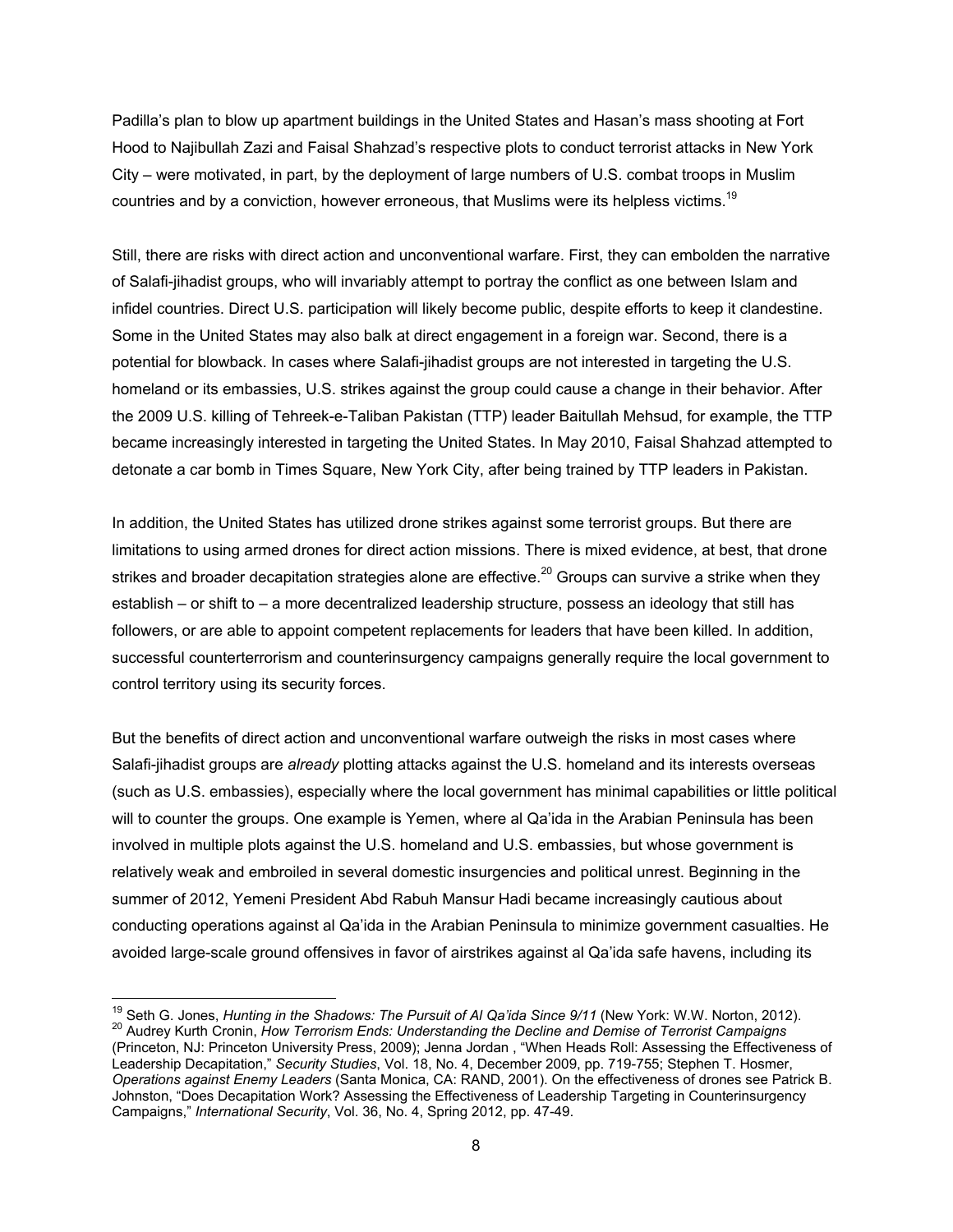Padilla's plan to blow up apartment buildings in the United States and Hasan's mass shooting at Fort Hood to Najibullah Zazi and Faisal Shahzad's respective plots to conduct terrorist attacks in New York City – were motivated, in part, by the deployment of large numbers of U.S. combat troops in Muslim countries and by a conviction, however erroneous, that Muslims were its helpless victims.<sup>19</sup>

Still, there are risks with direct action and unconventional warfare. First, they can embolden the narrative of Salafi-jihadist groups, who will invariably attempt to portray the conflict as one between Islam and infidel countries. Direct U.S. participation will likely become public, despite efforts to keep it clandestine. Some in the United States may also balk at direct engagement in a foreign war. Second, there is a potential for blowback. In cases where Salafi-jihadist groups are not interested in targeting the U.S. homeland or its embassies, U.S. strikes against the group could cause a change in their behavior. After the 2009 U.S. killing of Tehreek-e-Taliban Pakistan (TTP) leader Baitullah Mehsud, for example, the TTP became increasingly interested in targeting the United States. In May 2010, Faisal Shahzad attempted to detonate a car bomb in Times Square, New York City, after being trained by TTP leaders in Pakistan.

In addition, the United States has utilized drone strikes against some terrorist groups. But there are limitations to using armed drones for direct action missions. There is mixed evidence, at best, that drone strikes and broader decapitation strategies alone are effective.<sup>20</sup> Groups can survive a strike when they establish – or shift to – a more decentralized leadership structure, possess an ideology that still has followers, or are able to appoint competent replacements for leaders that have been killed. In addition, successful counterterrorism and counterinsurgency campaigns generally require the local government to control territory using its security forces.

But the benefits of direct action and unconventional warfare outweigh the risks in most cases where Salafi-jihadist groups are *already* plotting attacks against the U.S. homeland and its interests overseas (such as U.S. embassies), especially where the local government has minimal capabilities or little political will to counter the groups. One example is Yemen, where al Qa'ida in the Arabian Peninsula has been involved in multiple plots against the U.S. homeland and U.S. embassies, but whose government is relatively weak and embroiled in several domestic insurgencies and political unrest. Beginning in the summer of 2012, Yemeni President Abd Rabuh Mansur Hadi became increasingly cautious about conducting operations against al Qa'ida in the Arabian Peninsula to minimize government casualties. He avoided large-scale ground offensives in favor of airstrikes against al Qa'ida safe havens, including its

 $\overline{a}$ 

<sup>&</sup>lt;sup>19</sup> Seth G. Jones, *Hunting in the Shadows: The Pursuit of Al Qa'ida Since 9/11* (New York: W.W. Norton, 2012).<br><sup>20</sup> Audrev Kurth Cronin. *How Terrorism Ends: Understanding the Decline and Demise of Terrorist Campaigns* (Princeton, NJ: Princeton University Press, 2009); Jenna Jordan , "When Heads Roll: Assessing the Effectiveness of Leadership Decapitation," *Security Studies*, Vol. 18, No. 4, December 2009, pp. 719-755; Stephen T. Hosmer, *Operations against Enemy Leaders* (Santa Monica, CA: RAND, 2001). On the effectiveness of drones see Patrick B. Johnston, "Does Decapitation Work? Assessing the Effectiveness of Leadership Targeting in Counterinsurgency Campaigns," *International Security*, Vol. 36, No. 4, Spring 2012, pp. 47-49.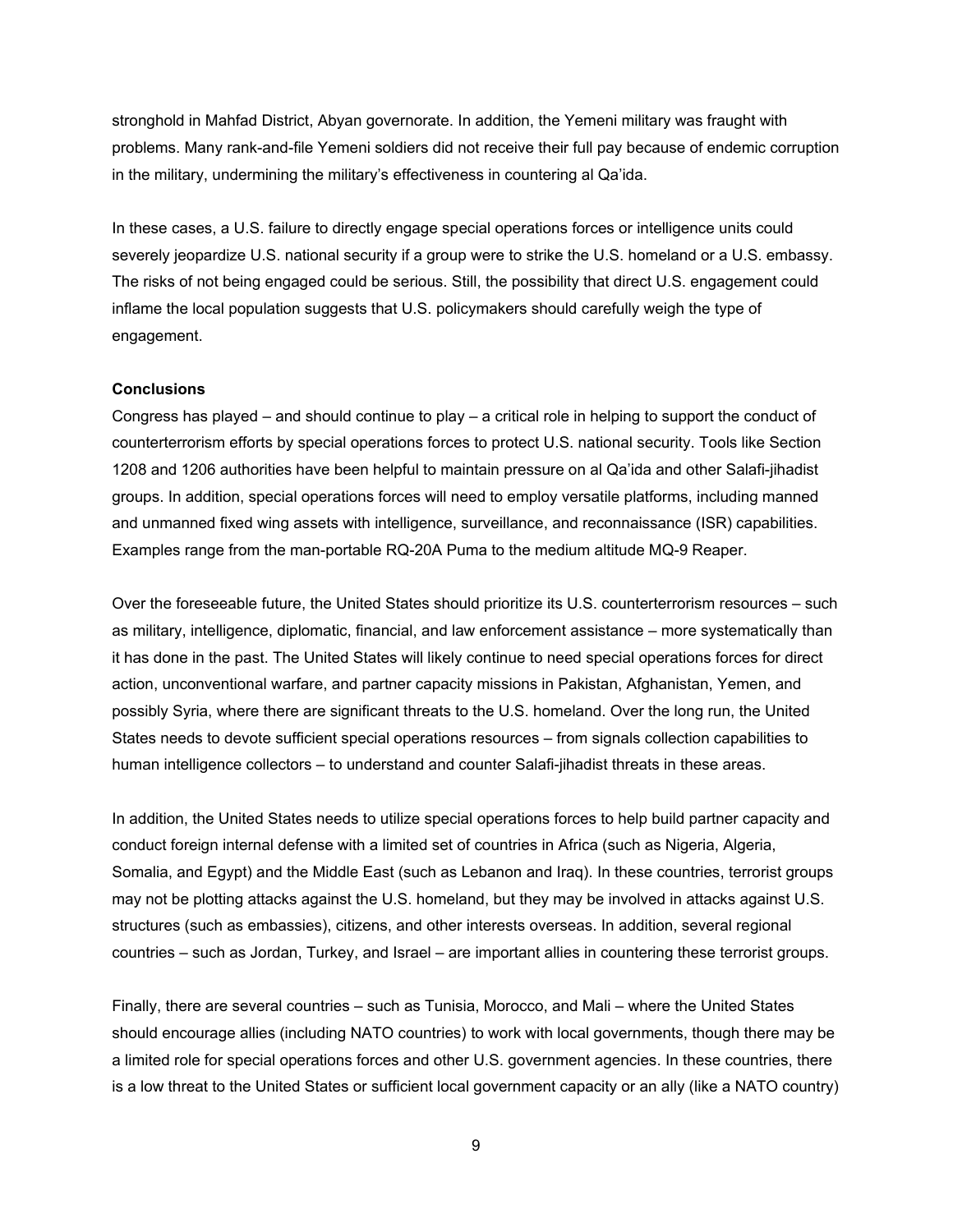stronghold in Mahfad District, Abyan governorate. In addition, the Yemeni military was fraught with problems. Many rank-and-file Yemeni soldiers did not receive their full pay because of endemic corruption in the military, undermining the military's effectiveness in countering al Qa'ida.

In these cases, a U.S. failure to directly engage special operations forces or intelligence units could severely jeopardize U.S. national security if a group were to strike the U.S. homeland or a U.S. embassy. The risks of not being engaged could be serious. Still, the possibility that direct U.S. engagement could inflame the local population suggests that U.S. policymakers should carefully weigh the type of engagement.

#### **Conclusions**

Congress has played – and should continue to play – a critical role in helping to support the conduct of counterterrorism efforts by special operations forces to protect U.S. national security. Tools like Section 1208 and 1206 authorities have been helpful to maintain pressure on al Qa'ida and other Salafi-jihadist groups. In addition, special operations forces will need to employ versatile platforms, including manned and unmanned fixed wing assets with intelligence, surveillance, and reconnaissance (ISR) capabilities. Examples range from the man-portable RQ-20A Puma to the medium altitude MQ-9 Reaper.

Over the foreseeable future, the United States should prioritize its U.S. counterterrorism resources – such as military, intelligence, diplomatic, financial, and law enforcement assistance – more systematically than it has done in the past. The United States will likely continue to need special operations forces for direct action, unconventional warfare, and partner capacity missions in Pakistan, Afghanistan, Yemen, and possibly Syria, where there are significant threats to the U.S. homeland. Over the long run, the United States needs to devote sufficient special operations resources – from signals collection capabilities to human intelligence collectors – to understand and counter Salafi-jihadist threats in these areas.

In addition, the United States needs to utilize special operations forces to help build partner capacity and conduct foreign internal defense with a limited set of countries in Africa (such as Nigeria, Algeria, Somalia, and Egypt) and the Middle East (such as Lebanon and Iraq). In these countries, terrorist groups may not be plotting attacks against the U.S. homeland, but they may be involved in attacks against U.S. structures (such as embassies), citizens, and other interests overseas. In addition, several regional countries – such as Jordan, Turkey, and Israel – are important allies in countering these terrorist groups.

Finally, there are several countries – such as Tunisia, Morocco, and Mali – where the United States should encourage allies (including NATO countries) to work with local governments, though there may be a limited role for special operations forces and other U.S. government agencies. In these countries, there is a low threat to the United States or sufficient local government capacity or an ally (like a NATO country)